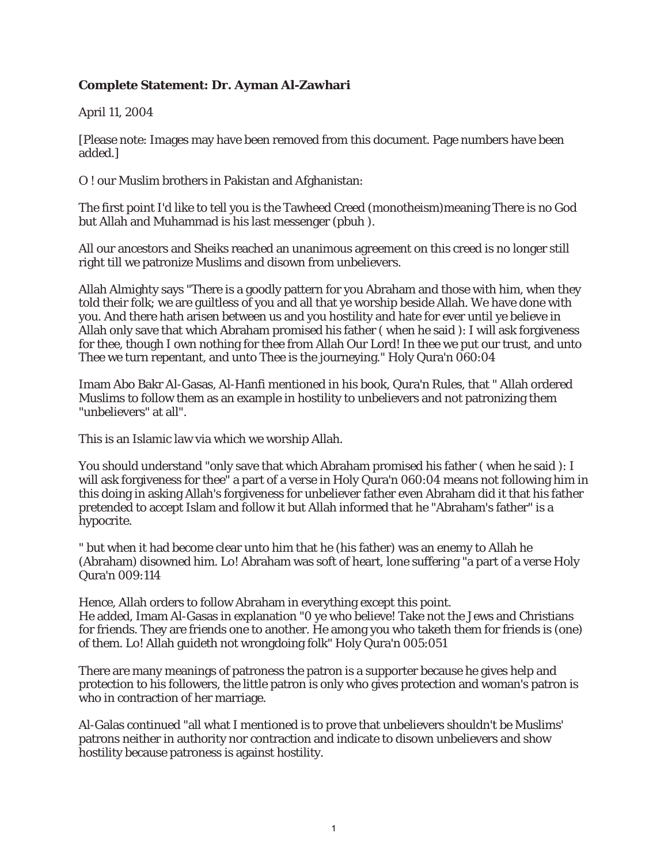## **Complete Statement: Dr. Ayman Al-Zawhari**

April 11, 2004

[Please note: Images may have been removed from this document. Page numbers have been added.]

O ! our Muslim brothers in Pakistan and Afghanistan:

The first point I'd like to tell you is the Tawheed Creed (monotheism)meaning There is no God but Allah and Muhammad is his last messenger (pbuh ).

All our ancestors and Sheiks reached an unanimous agreement on this creed is no longer still right till we patronize Muslims and disown from unbelievers.

Allah Almighty says "There is a goodly pattern for you Abraham and those with him, when they told their folk; we are guiltless of you and all that ye worship beside Allah. We have done with you. And there hath arisen between us and you hostility and hate for ever until ye believe in Allah only save that which Abraham promised his father ( when he said ): I will ask forgiveness for thee, though I own nothing for thee from Allah Our Lord! In thee we put our trust, and unto Thee we turn repentant, and unto Thee is the journeying." Holy Qura'n 060:04

Imam Abo Bakr Al-Gasas, Al-Hanfi mentioned in his book, Qura'n Rules, that " Allah ordered Muslims to follow them as an example in hostility to unbelievers and not patronizing them "unbelievers" at all".

This is an Islamic law via which we worship Allah.

You should understand "only save that which Abraham promised his father ( when he said ): I will ask forgiveness for thee" a part of a verse in Holy Qura'n 060:04 means not following him in this doing in asking Allah's forgiveness for unbeliever father even Abraham did it that his father pretended to accept Islam and follow it but Allah informed that he "Abraham's father" is a hypocrite.

" but when it had become clear unto him that he (his father) was an enemy to Allah he (Abraham) disowned him. Lo! Abraham was soft of heart, lone suffering "a part of a verse Holy Qura'n 009:114

Hence, Allah orders to follow Abraham in everything except this point. He added, Imam Al-Gasas in explanation "0 ye who believe! Take not the Jews and Christians for friends. They are friends one to another. He among you who taketh them for friends is (one) of them. Lo! Allah guideth not wrongdoing folk" Holy Qura'n 005:051

There are many meanings of patroness the patron is a supporter because he gives help and protection to his followers, the little patron is only who gives protection and woman's patron is who in contraction of her marriage.

Al-Galas continued "all what I mentioned is to prove that unbelievers shouldn't be Muslims' patrons neither in authority nor contraction and indicate to disown unbelievers and show hostility because patroness is against hostility.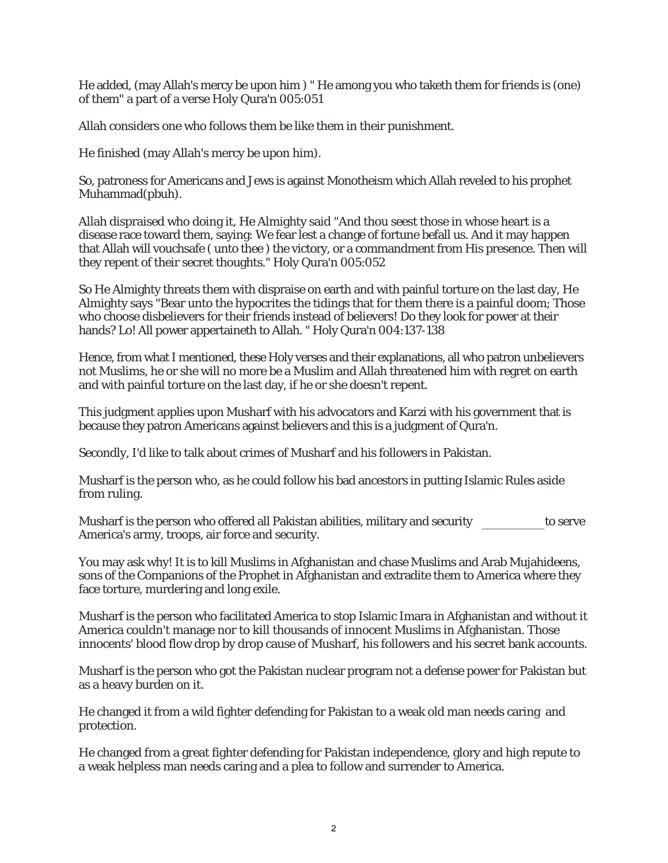He added, (may Allah's mercy be upon him ) " He among you who taketh them for friends is (one) of them" a part of a verse Holy Qura'n 005:051

Allah considers one who follows them be like them in their punishment.

He finished (may Allah's mercy be upon him).

So, patroness for Americans and Jews is against Monotheism which Allah reveled to his prophet Muhammad(pbuh).

Allah dispraised who doing it, He Almighty said "And thou seest those in whose heart is a disease race toward them, saying: We fear lest a change of fortune befall us. And it may happen that Allah will vouchsafe ( unto thee ) the victory, or a commandment from His presence. Then will they repent of their secret thoughts." Holy Qura'n 005:052

So He Almighty threats them with dispraise on earth and with painful torture on the last day, He Almighty says "Bear unto the hypocrites the tidings that for them there is a painful doom; Those who choose disbelievers for their friends instead of believers! Do they look for power at their hands? Lo! All power appertaineth to Allah. " Holy Qura'n 004:137-138

Hence, from what I mentioned, these Holy verses and their explanations, all who patron unbelievers not Muslims, he or she will no more be a Muslim and Allah threatened him with regret on earth and with painful torture on the last day, if he or she doesn't repent.

This judgment applies upon Musharf with his advocators and Karzi with his government that is because they patron Americans against believers and this is a judgment of Qura'n.

Secondly, I'd like to talk about crimes of Musharf and his followers in Pakistan.

Musharf is the person who, as he could follow his bad ancestors in putting Islamic Rules aside from ruling.

Musharf is the person who offered all Pakistan abilities, military and security to serve America's army, troops, air force and security.

You may ask why! It is to kill Muslims in Afghanistan and chase Muslims and Arab Mujahideens, sons of the Companions of the Prophet in Afghanistan and extradite them to America where they face torture, murdering and long exile.

Musharf is the person who facilitated America to stop Islamic Imara in Afghanistan and without it America couldn't manage nor to kill thousands of innocent Muslims in Afghanistan. Those innocents' blood flow drop by drop cause of Musharf, his followers and his secret bank accounts.

Musharf is the person who got the Pakistan nuclear program not a defense power for Pakistan but as a heavy burden on it.

He changed it from a wild fighter defending for Pakistan to a weak old man needs caring and protection.

He changed from a great fighter defending for Pakistan independence, glory and high repute to a weak helpless man needs caring and a plea to follow and surrender to America.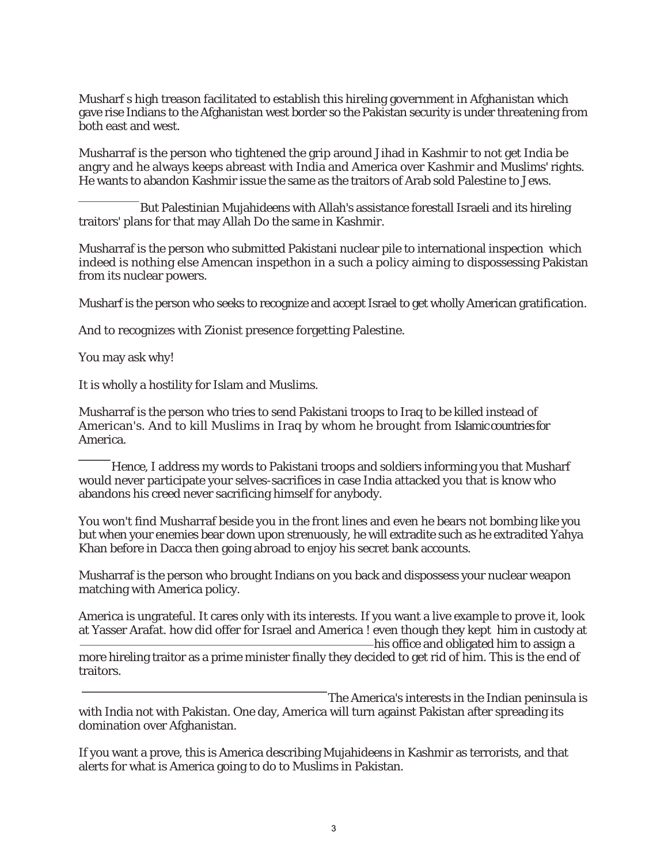Musharf s high treason facilitated to establish this hireling government in Afghanistan which gave rise Indians to the Afghanistan west border so the Pakistan security is under threatening from both east and west.

Musharraf is the person who tightened the grip around Jihad in Kashmir to not get India be angry and he always keeps abreast with India and America over Kashmir and Muslims' rights. He wants to abandon Kashmir issue the same as the traitors of Arab sold Palestine to Jews.

But Palestinian Mujahideens with Allah's assistance forestall Israeli and its hireling traitors' plans for that may Allah Do the same in Kashmir.

Musharraf is the person who submitted Pakistani nuclear pile to international inspection which indeed is nothing else Amencan inspethon in a such a policy aiming to dispossessing Pakistan from its nuclear powers.

Musharf is the person who seeks to recognize and accept Israel to get wholly American gratification.

And to recognizes with Zionist presence forgetting Palestine.

You may ask why!

It is wholly a hostility for Islam and Muslims.

Musharraf is the person who tries to send Pakistani troops to Iraq to be killed instead of American's. And to kill Muslims in Iraq by whom he brought from Islamic countries for America.

Hence, I address my words to Pakistani troops and soldiers informing you that Musharf would never participate your selves-sacrifices in case India attacked you that is know who abandons his creed never sacrificing himself for anybody.

You won't find Musharraf beside you in the front lines and even he bears not bombing like you but when your enemies bear down upon strenuously, he will extradite such as he extradited Yahya Khan before in Dacca then going abroad to enjoy his secret bank accounts.

Musharraf is the person who brought Indians on you back and dispossess your nuclear weapon matching with America policy.

America is ungrateful. It cares only with its interests. If you want a live example to prove it, look at Yasser Arafat. how did offer for Israel and America ! even though they kept him in custody at his office and obligated him to assign a more hireling traitor as a prime minister finally they decided to get rid of him. This is the end of traitors.

The America's interests in the Indian peninsula is with India not with Pakistan. One day, America will turn against Pakistan after spreading its domination over Afghanistan.

If you want a prove, this is America describing Mujahideens in Kashmir as terrorists, and that alerts for what is America going to do to Muslims in Pakistan.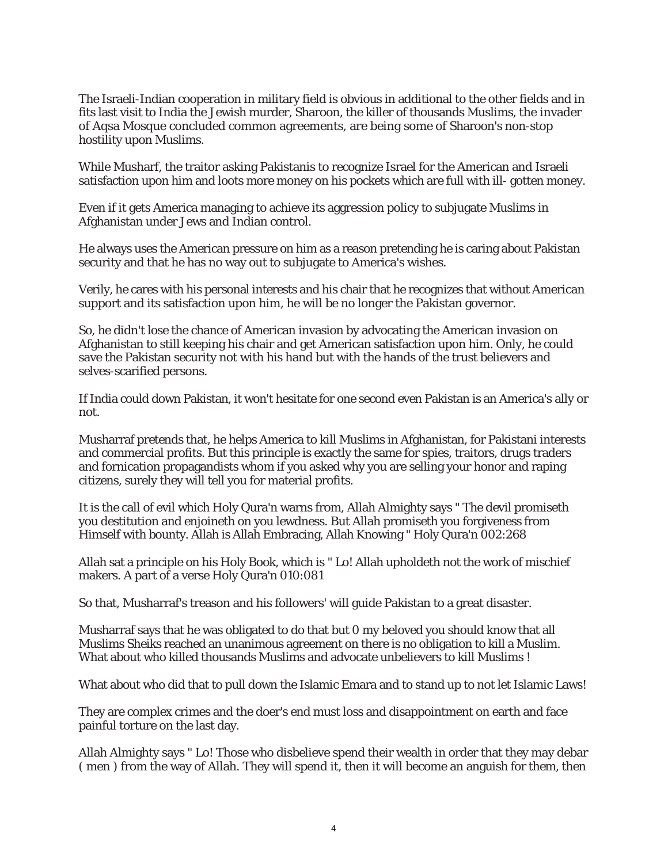The Israeli-Indian cooperation in military field is obvious in additional to the other fields and in fits last visit to India the Jewish murder, Sharoon, the killer of thousands Muslims, the invader of Aqsa Mosque concluded common agreements, are being some of Sharoon's non-stop hostility upon Muslims.

While Musharf, the traitor asking Pakistanis to recognize Israel for the American and Israeli satisfaction upon him and loots more money on his pockets which are full with ill- gotten money.

Even if it gets America managing to achieve its aggression policy to subjugate Muslims in Afghanistan under Jews and Indian control.

He always uses the American pressure on him as a reason pretending he is caring about Pakistan security and that he has no way out to subjugate to America's wishes.

Verily, he cares with his personal interests and his chair that he recognizes that without American support and its satisfaction upon him, he will be no longer the Pakistan governor.

So, he didn't lose the chance of American invasion by advocating the American invasion on Afghanistan to still keeping his chair and get American satisfaction upon him. Only, he could save the Pakistan security not with his hand but with the hands of the trust believers and selves-scarified persons.

If India could down Pakistan, it won't hesitate for one second even Pakistan is an America's ally or not.

Musharraf pretends that, he helps America to kill Muslims in Afghanistan, for Pakistani interests and commercial profits. But this principle is exactly the same for spies, traitors, drugs traders and fornication propagandists whom if you asked why you are selling your honor and raping citizens, surely they will tell you for material profits.

It is the call of evil which Holy Qura'n warns from, Allah Almighty says " The devil promiseth you destitution and enjoineth on you lewdness. But Allah promiseth you forgiveness from Himself with bounty. Allah is Allah Embracing, Allah Knowing " Holy Qura'n 002:268

Allah sat a principle on his Holy Book, which is " Lo! Allah upholdeth not the work of mischief makers. A part of a verse Holy Qura'n 010:081

So that, Musharraf's treason and his followers' will guide Pakistan to a great disaster.

Musharraf says that he was obligated to do that but 0 my beloved you should know that all Muslims Sheiks reached an unanimous agreement on there is no obligation to kill a Muslim. What about who killed thousands Muslims and advocate unbelievers to kill Muslims !

What about who did that to pull down the Islamic Emara and to stand up to not let Islamic Laws!

They are complex crimes and the doer's end must loss and disappointment on earth and face painful torture on the last day.

Allah Almighty says " Lo! Those who disbelieve spend their wealth in order that they may debar ( men ) from the way of Allah. They will spend it, then it will become an anguish for them, then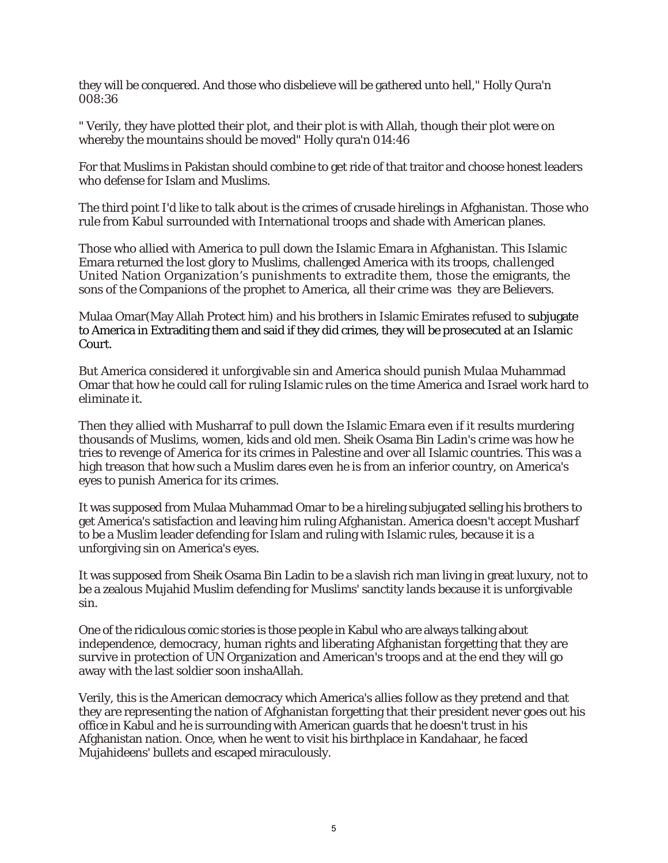they will be conquered. And those who disbelieve will be gathered unto hell," Holly Qura'n 008:36

" Verily, they have plotted their plot, and their plot is with Allah, though their plot were on whereby the mountains should be moved" Holly qura'n 014:46

For that Muslims in Pakistan should combine to get ride of that traitor and choose honest leaders who defense for Islam and Muslims.

The third point I'd like to talk about is the crimes of crusade hirelings in Afghanistan. Those who rule from Kabul surrounded with International troops and shade with American planes.

Those who allied with America to pull down the Islamic Emara in Afghanistan. This Islamic Emara returned the lost glory to Muslims, challenged America with its troops, challenged United Nation Organization's punishments to extradite them, those the emigrants, the sons of the Companions of the prophet to America, all their crime was they are Believers.

Mulaa Omar(May Allah Protect him) and his brothers in Islamic Emirates refused to subjugate to America in Extraditing them and said if they did crimes, they will be prosecuted at an Islamic Court.

But America considered it unforgivable sin and America should punish Mulaa Muhammad Omar that how he could call for ruling Islamic rules on the time America and Israel work hard to eliminate it.

Then they allied with Musharraf to pull down the Islamic Emara even if it results murdering thousands of Muslims, women, kids and old men. Sheik Osama Bin Ladin's crime was how he tries to revenge of America for its crimes in Palestine and over all Islamic countries. This was a high treason that how such a Muslim dares even he is from an inferior country, on America's eyes to punish America for its crimes.

It was supposed from Mulaa Muhammad Omar to be a hireling subjugated selling his brothers to get America's satisfaction and leaving him ruling Afghanistan. America doesn't accept Musharf to be a Muslim leader defending for Islam and ruling with Islamic rules, because it is a unforgiving sin on America's eyes.

It was supposed from Sheik Osama Bin Ladin to be a slavish rich man living in great luxury, not to be a zealous Mujahid Muslim defending for Muslims' sanctity lands because it is unforgivable sin.

One of the ridiculous comic stories is those people in Kabul who are always talking about independence, democracy, human rights and liberating Afghanistan forgetting that they are survive in protection of UN Organization and American's troops and at the end they will go away with the last soldier soon inshaAllah.

Verily, this is the American democracy which America's allies follow as they pretend and that they are representing the nation of Afghanistan forgetting that their president never goes out his office in Kabul and he is surrounding with American guards that he doesn't trust in his Afghanistan nation. Once, when he went to visit his birthplace in Kandahaar, he faced Mujahideens' bullets and escaped miraculously.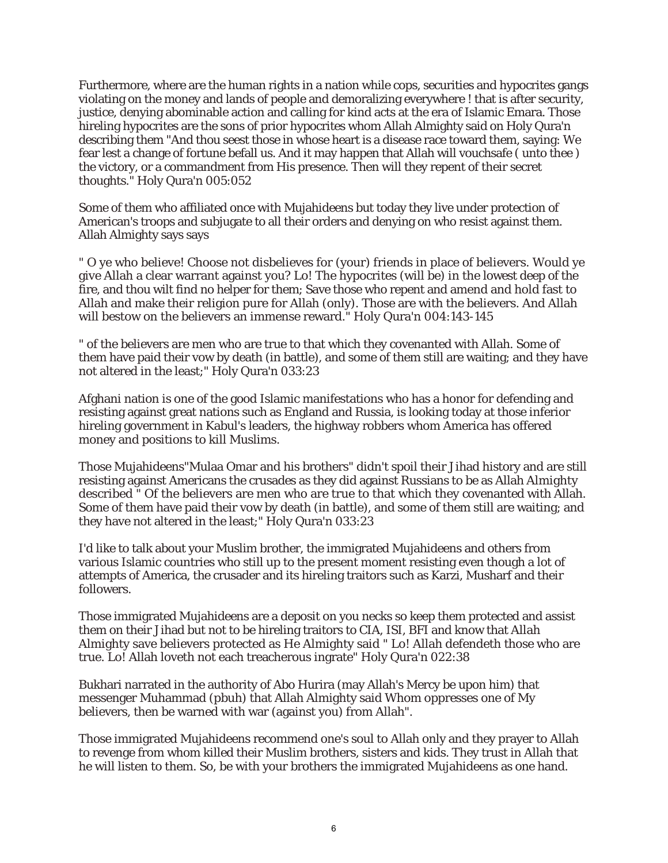Furthermore, where are the human rights in a nation while cops, securities and hypocrites gangs violating on the money and lands of people and demoralizing everywhere ! that is after security, justice, denying abominable action and calling for kind acts at the era of Islamic Emara. Those hireling hypocrites are the sons of prior hypocrites whom Allah Almighty said on Holy Qura'n describing them "And thou seest those in whose heart is a disease race toward them, saying: We fear lest a change of fortune befall us. And it may happen that Allah will vouchsafe ( unto thee ) the victory, or a commandment from His presence. Then will they repent of their secret thoughts." Holy Qura'n 005:052

Some of them who affiliated once with Mujahideens but today they live under protection of American's troops and subjugate to all their orders and denying on who resist against them. Allah Almighty says says

" O ye who believe! Choose not disbelieves for (your) friends in place of believers. Would ye give Allah a clear warrant against you? Lo! The hypocrites (will be) in the lowest deep of the fire, and thou wilt find no helper for them; Save those who repent and amend and hold fast to Allah and make their religion pure for Allah (only). Those are with the believers. And Allah will bestow on the believers an immense reward." Holy Qura'n 004:143-145

" of the believers are men who are true to that which they covenanted with Allah. Some of them have paid their vow by death (in battle), and some of them still are waiting; and they have not altered in the least;" Holy Qura'n 033:23

Afghani nation is one of the good Islamic manifestations who has a honor for defending and resisting against great nations such as England and Russia, is looking today at those inferior hireling government in Kabul's leaders, the highway robbers whom America has offered money and positions to kill Muslims.

Those Mujahideens"Mulaa Omar and his brothers" didn't spoil their Jihad history and are still resisting against Americans the crusades as they did against Russians to be as Allah Almighty described " Of the believers are men who are true to that which they covenanted with Allah. Some of them have paid their vow by death (in battle), and some of them still are waiting; and they have not altered in the least;" Holy Qura'n 033:23

I'd like to talk about your Muslim brother, the immigrated Mujahideens and others from various Islamic countries who still up to the present moment resisting even though a lot of attempts of America, the crusader and its hireling traitors such as Karzi, Musharf and their followers.

Those immigrated Mujahideens are a deposit on you necks so keep them protected and assist them on their Jihad but not to be hireling traitors to CIA, ISI, BFI and know that Allah Almighty save believers protected as He Almighty said " Lo! Allah defendeth those who are true. Lo! Allah loveth not each treacherous ingrate" Holy Qura'n 022:38

Bukhari narrated in the authority of Abo Hurira (may Allah's Mercy be upon him) that messenger Muhammad (pbuh) that Allah Almighty said Whom oppresses one of My believers, then be warned with war (against you) from Allah".

Those immigrated Mujahideens recommend one's soul to Allah only and they prayer to Allah to revenge from whom killed their Muslim brothers, sisters and kids. They trust in Allah that he will listen to them. So, be with your brothers the immigrated Mujahideens as one hand.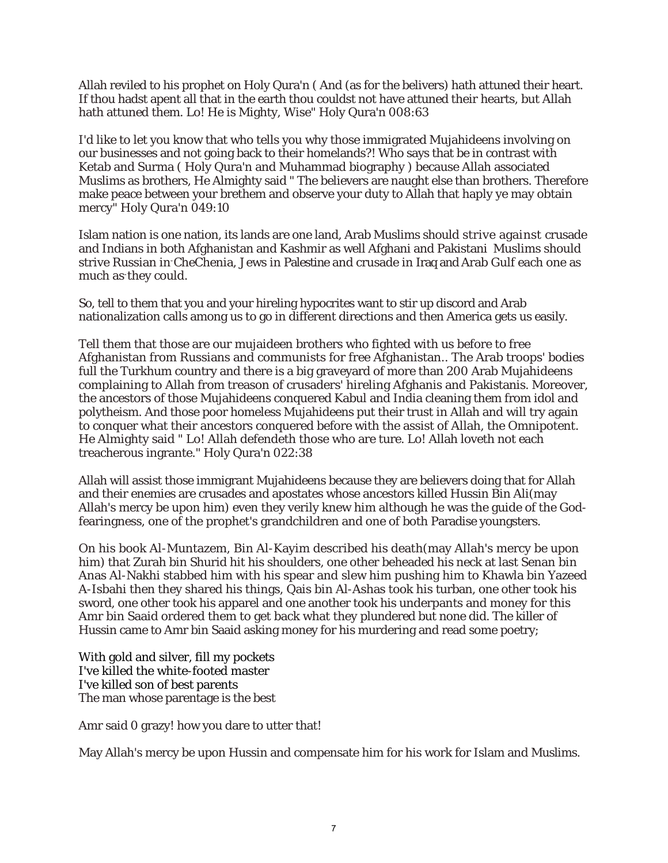Allah reviled to his prophet on Holy Qura'n ( And (as for the belivers) hath attuned their heart. If thou hadst apent all that in the earth thou couldst not have attuned their hearts, but Allah hath attuned them. Lo! He is Mighty, Wise" Holy Qura'n 008:63

I'd like to let you know that who tells you why those immigrated Mujahideens involving on our businesses and not going back to their homelands?! Who says that be in contrast with Ketab and Surma ( Holy Qura'n and Muhammad biography ) because Allah associated Muslims as brothers, He Almighty said " The believers are naught else than brothers. Therefore make peace between your brethem and observe your duty to Allah that haply ye may obtain mercy" Holy Qura'n 049:10

Islam nation is one nation, its lands are one land, Arab Muslims should strive against crusade and Indians in both Afghanistan and Kashmir as well Afghani and Pakistani Muslims should strive Russian in-CheChenia, Jews in Palestine and crusade in Iraq and Arab Gulf each one as much as-they could.

So, tell to them that you and your hireling hypocrites want to stir up discord and Arab nationalization calls among us to go in different directions and then America gets us easily.

Tell them that those are our mujaideen brothers who fighted with us before to free Afghanistan from Russians and communists for free Afghanistan.. The Arab troops' bodies full the Turkhum country and there is a big graveyard of more than 200 Arab Mujahideens complaining to Allah from treason of crusaders' hireling Afghanis and Pakistanis. Moreover, the ancestors of those Mujahideens conquered Kabul and India cleaning them from idol and polytheism. And those poor homeless Mujahideens put their trust in Allah and will try again to conquer what their ancestors conquered before with the assist of Allah, the Omnipotent. He Almighty said " Lo! Allah defendeth those who are ture. Lo! Allah loveth not each treacherous ingrante." Holy Qura'n 022:38

Allah will assist those immigrant Mujahideens because they are believers doing that for Allah and their enemies are crusades and apostates whose ancestors killed Hussin Bin Ali(may Allah's mercy be upon him) even they verily knew him although he was the guide of the Godfearingness, one of the prophet's grandchildren and one of both Paradise youngsters.

On his book Al-Muntazem, Bin Al-Kayim described his death(may Allah's mercy be upon him) that Zurah bin Shurid hit his shoulders, one other beheaded his neck at last Senan bin Anas Al-Nakhi stabbed him with his spear and slew him pushing him to Khawla bin Yazeed A-Isbahi then they shared his things, Qais bin Al-Ashas took his turban, one other took his sword, one other took his apparel and one another took his underpants and money for this Amr bin Saaid ordered them to get back what they plundered but none did. The killer of Hussin came to Amr bin Saaid asking money for his murdering and read some poetry;

With gold and silver, fill my pockets I've killed the white-footed master I've killed son of best parents The man whose parentage is the best

Amr said 0 grazy! how you dare to utter that!

May Allah's mercy be upon Hussin and compensate him for his work for Islam and Muslims.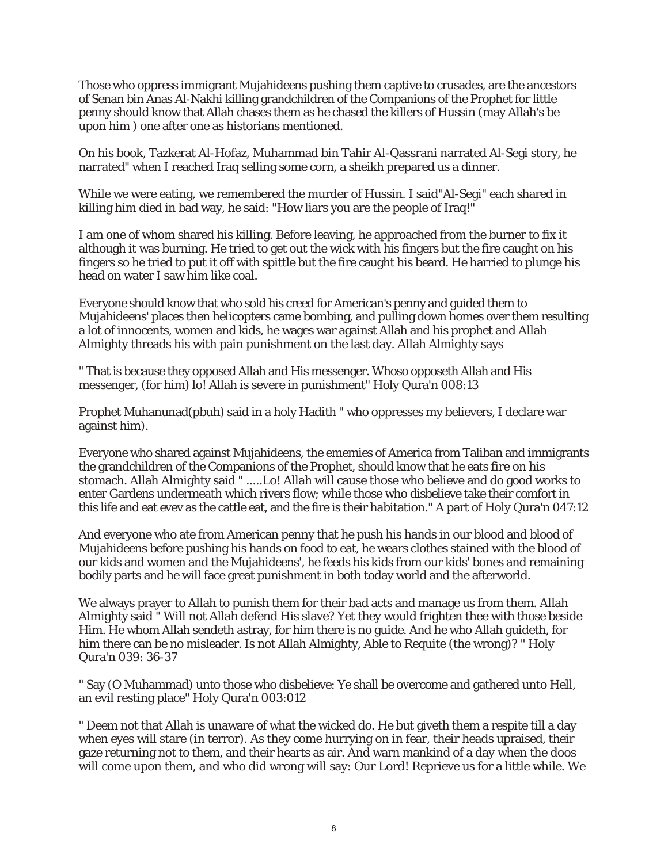Those who oppress immigrant Mujahideens pushing them captive to crusades, are the ancestors of Senan bin Anas Al-Nakhi killing grandchildren of the Companions of the Prophet for little penny should know that Allah chases them as he chased the killers of Hussin (may Allah's be upon him ) one after one as historians mentioned.

On his book, Tazkerat Al-Hofaz, Muhammad bin Tahir Al-Qassrani narrated Al-Segi story, he narrated" when I reached Iraq selling some corn, a sheikh prepared us a dinner.

While we were eating, we remembered the murder of Hussin. I said"Al-Segi" each shared in killing him died in bad way, he said: "How liars you are the people of Iraq!"

I am one of whom shared his killing. Before leaving, he approached from the burner to fix it although it was burning. He tried to get out the wick with his fingers but the fire caught on his fingers so he tried to put it off with spittle but the fire caught his beard. He harried to plunge his head on water I saw him like coal.

Everyone should know that who sold his creed for American's penny and guided them to Mujahideens' places then helicopters came bombing, and pulling down homes over them resulting a lot of innocents, women and kids, he wages war against Allah and his prophet and Allah Almighty threads his with pain punishment on the last day. Allah Almighty says

" That is because they opposed Allah and His messenger. Whoso opposeth Allah and His messenger, (for him) lo! Allah is severe in punishment" Holy Qura'n 008:13

Prophet Muhanunad(pbuh) said in a holy Hadith " who oppresses my believers, I declare war against him).

Everyone who shared against Mujahideens, the ememies of America from Taliban and immigrants the grandchildren of the Companions of the Prophet, should know that he eats fire on his stomach. Allah Almighty said " .....Lo! Allah will cause those who believe and do good works to enter Gardens undermeath which rivers flow; while those who disbelieve take their comfort in this life and eat evev as the cattle eat, and the fire is their habitation." A part of Holy Qura'n 047:12

And everyone who ate from American penny that he push his hands in our blood and blood of Mujahideens before pushing his hands on food to eat, he wears clothes stained with the blood of our kids and women and the Mujahideens', he feeds his kids from our kids' bones and remaining bodily parts and he will face great punishment in both today world and the afterworld.

We always prayer to Allah to punish them for their bad acts and manage us from them. Allah Almighty said " Will not Allah defend His slave? Yet they would frighten thee with those beside Him. He whom Allah sendeth astray, for him there is no guide. And he who Allah guideth, for him there can be no misleader. Is not Allah Almighty, Able to Requite (the wrong)? " Holy Qura'n 039: 36-37

" Say (O Muhammad) unto those who disbelieve: Ye shall be overcome and gathered unto Hell, an evil resting place" Holy Qura'n 003:012

" Deem not that Allah is unaware of what the wicked do. He but giveth them a respite till a day when eyes will stare (in terror). As they come hurrying on in fear, their heads upraised, their gaze returning not to them, and their hearts as air. And warn mankind of a day when the doos will come upon them, and who did wrong will say: Our Lord! Reprieve us for a little while. We